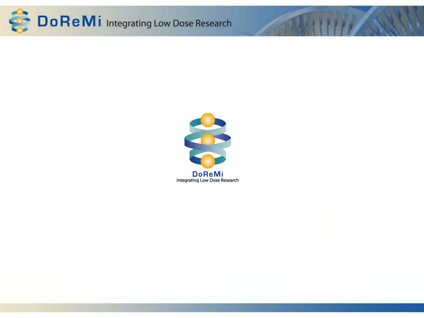

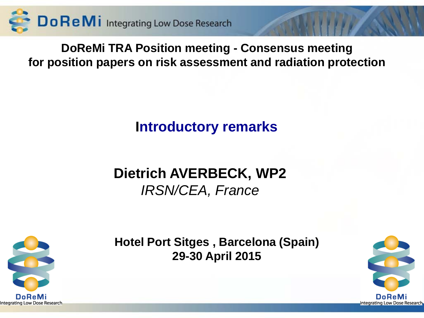

**DoReMi TRA Position meeting - Consensus meeting for position papers on risk assessment and radiation protection**

## **Introductory remarks**

# **Dietrich AVERBECK, WP2**  *IRSN/CEA, France*



**Hotel Port Sitges , Barcelona (Spain) 29-30 April 2015**

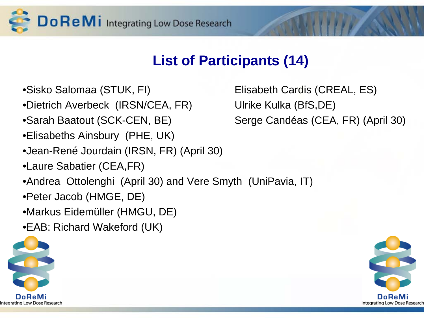

## **List of Participants (14)**

- 
- •Dietrich Averbeck (IRSN/CEA, FR) Ulrike Kulka (BfS,DE)
- •Sarah Baatout (SCK-CEN, BE) Serge Candéas (CEA, FR) (April 30)
- •Elisabeths Ainsbury (PHE, UK)
- •Jean-René Jourdain (IRSN, FR) (April 30)
- •Laure Sabatier (CEA,FR)
- •Andrea Ottolenghi (April 30) and Vere Smyth (UniPavia, IT)
- •Peter Jacob (HMGE, DE)
- •Markus Eidemüller (HMGU, DE)
- •EAB: Richard Wakeford (UK)



•Sisko Salomaa (STUK, FI) Elisabeth Cardis (CREAL, ES)

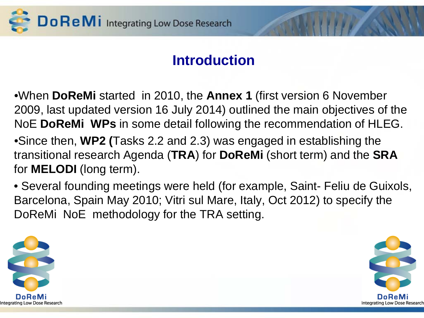

## **Introduction**

•When **DoReMi** started in 2010, the **Annex 1** (first version 6 November 2009, last updated version 16 July 2014) outlined the main objectives of the NoE **DoReMi WPs** in some detail following the recommendation of HLEG.

•Since then, **WP2 (**Tasks 2.2 and 2.3) was engaged in establishing the transitional research Agenda (**TRA**) for **DoReMi** (short term) and the **SRA** for **MELODI** (long term).

• Several founding meetings were held (for example, Saint- Feliu de Guixols, Barcelona, Spain May 2010; Vitri sul Mare, Italy, Oct 2012) to specify the DoReMi NoE methodology for the TRA setting.



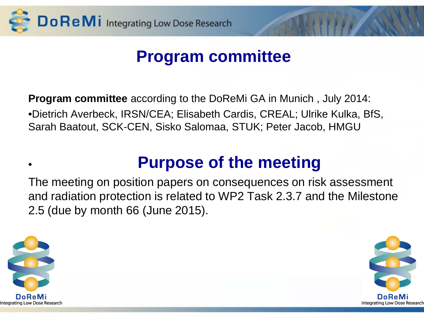

# **Program committee**

**Program committee** according to the DoReMi GA in Munich , July 2014: •Dietrich Averbeck, IRSN/CEA; Elisabeth Cardis, CREAL; Ulrike Kulka, BfS, Sarah Baatout, SCK-CEN, Sisko Salomaa, STUK; Peter Jacob, HMGU

# • **Purpose of the meeting**

The meeting on position papers on consequences on risk assessment and radiation protection is related to WP2 Task 2.3.7 and the Milestone 2.5 (due by month 66 (June 2015).



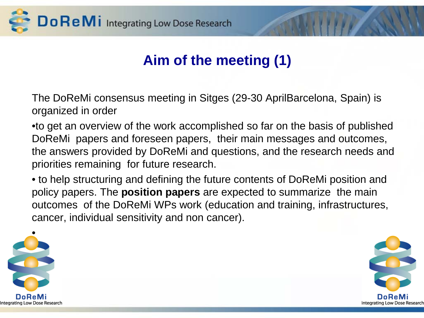

# **Aim of the meeting (1)**

The DoReMi consensus meeting in Sitges (29-30 AprilBarcelona, Spain) is organized in order

•to get an overview of the work accomplished so far on the basis of published DoReMi papers and foreseen papers, their main messages and outcomes, the answers provided by DoReMi and questions, and the research needs and priorities remaining for future research.

• to help structuring and defining the future contents of DoReMi position and policy papers. The **position papers** are expected to summarize the main outcomes of the DoReMi WPs work (education and training, infrastructures, cancer, individual sensitivity and non cancer).



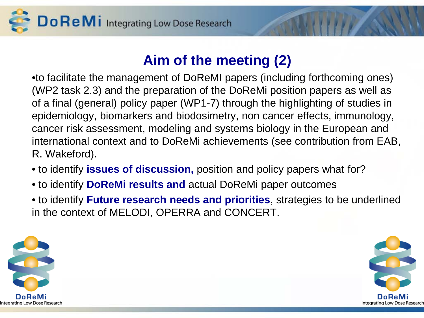Do ReMi Integrating Low Dose Research

## **Aim of the meeting (2)**

•to facilitate the management of DoReMI papers (including forthcoming ones) (WP2 task 2.3) and the preparation of the DoReMi position papers as well as of a final (general) policy paper (WP1-7) through the highlighting of studies in epidemiology, biomarkers and biodosimetry, non cancer effects, immunology, cancer risk assessment, modeling and systems biology in the European and international context and to DoReMi achievements (see contribution from EAB, R. Wakeford).

- to identify **issues of discussion,** position and policy papers what for?
- to identify **DoReMi results and** actual DoReMi paper outcomes
- to identify **Future research needs and priorities**, strategies to be underlined in the context of MELODI, OPERRA and CONCERT.



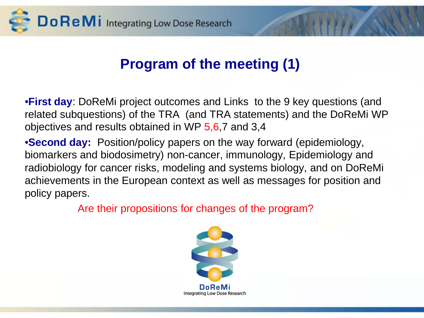

## **Program of the meeting (1)**

•**First day**: DoReMi project outcomes and Links to the 9 key questions (and related subquestions) of the TRA (and TRA statements) and the DoReMi WP objectives and results obtained in WP 5,6,7 and 3,4

•**Second day:** Position/policy papers on the way forward (epidemiology, biomarkers and biodosimetry) non-cancer, immunology, Epidemiology and radiobiology for cancer risks, modeling and systems biology, and on DoReMi achievements in the European context as well as messages for position and policy papers.

Are their propositions for changes of the program?

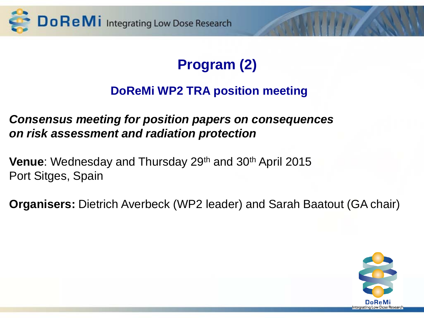

# **Program (2)**

### **DoReMi WP2 TRA position meeting**

### *Consensus meeting for position papers on consequences on risk assessment and radiation protection*

**Venue**: Wednesday and Thursday 29<sup>th</sup> and 30<sup>th</sup> April 2015 Port Sitges, Spain

**Organisers:** Dietrich Averbeck (WP2 leader) and Sarah Baatout (GA chair)

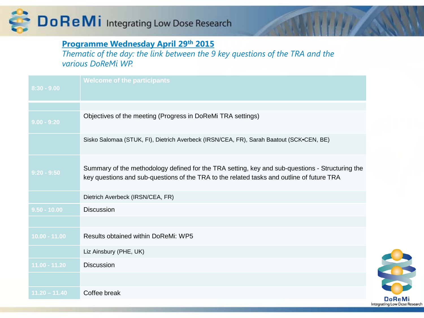

### **Programme Wednesday April 29th 2015**

*Thematic of the day: the link between the 9 key questions of the TRA and the various DoReMi WP.*

| $8:30 - 9.00$   | <b>Welcome of the participants</b>                                                                                                                                                           |  |
|-----------------|----------------------------------------------------------------------------------------------------------------------------------------------------------------------------------------------|--|
|                 |                                                                                                                                                                                              |  |
| $9.00 - 9:20$   | Objectives of the meeting (Progress in DoReMi TRA settings)                                                                                                                                  |  |
|                 | Sisko Salomaa (STUK, FI), Dietrich Averbeck (IRSN/CEA, FR), Sarah Baatout (SCK.CEN, BE)                                                                                                      |  |
| $9:20 - 9:50$   | Summary of the methodology defined for the TRA setting, key and sub-questions - Structuring the<br>key questions and sub-questions of the TRA to the related tasks and outline of future TRA |  |
|                 | Dietrich Averbeck (IRSN/CEA, FR)                                                                                                                                                             |  |
| $9.50 - 10.00$  | <b>Discussion</b>                                                                                                                                                                            |  |
|                 |                                                                                                                                                                                              |  |
| 10.00 - 11.00   | <b>Results obtained within DoReMi: WP5</b>                                                                                                                                                   |  |
|                 | Liz Ainsbury (PHE, UK)                                                                                                                                                                       |  |
| 11.00 - 11.20   | <b>Discussion</b>                                                                                                                                                                            |  |
|                 |                                                                                                                                                                                              |  |
| $11.20 - 11.40$ | Coffee break                                                                                                                                                                                 |  |

**DoReMi** Integrating Low Dose Research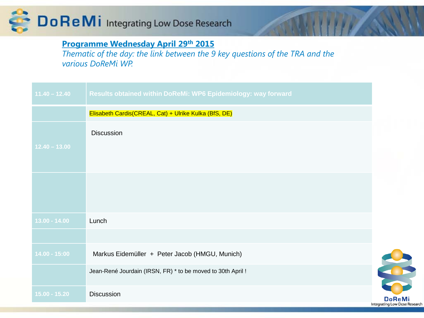

### **Programme Wednesday April 29th 2015**

*Thematic of the day: the link between the 9 key questions of the TRA and the various DoReMi WP.*

| $11.40 - 12.40$ | Results obtained within DoReMi: WP6 Epidemiology: way forward |                                               |
|-----------------|---------------------------------------------------------------|-----------------------------------------------|
|                 | Elisabeth Cardis(CREAL, Cat) + Ulrike Kulka (BfS, DE)         |                                               |
| $12.40 - 13.00$ | Discussion                                                    |                                               |
|                 |                                                               |                                               |
| $13.00 - 14.00$ | Lunch                                                         |                                               |
|                 |                                                               |                                               |
| $14.00 - 15:00$ | Markus Eidemüller + Peter Jacob (HMGU, Munich)                |                                               |
|                 | Jean-René Jourdain (IRSN, FR) * to be moved to 30th April !   |                                               |
| $15.00 - 15.20$ | Discussion                                                    | <b>DoReM</b><br>Integrating Low Dose Research |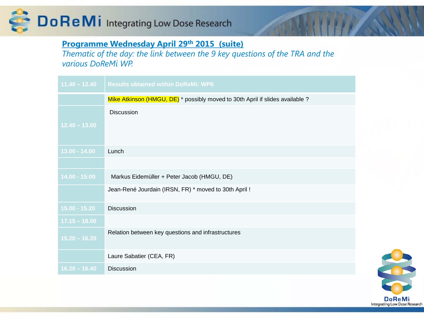

### **Programme Wednesday April 29th 2015 (suite)**

*Thematic of the day: the link between the 9 key questions of the TRA and the various DoReMi WP.*

| $11.40 - 12.40$ | <b>Results obtained within DoReMi: WP6</b>                                              |
|-----------------|-----------------------------------------------------------------------------------------|
|                 | Mike Atkinson (HMGU, DE) <sup>*</sup> possibly moved to 30th April if slides available? |
|                 | <b>Discussion</b>                                                                       |
| $12.40 - 13.00$ |                                                                                         |
|                 |                                                                                         |
| $13.00 - 14.00$ | Lunch                                                                                   |
|                 |                                                                                         |
| $14.00 - 15:00$ | Markus Eidemüller + Peter Jacob (HMGU, DE)                                              |
|                 | Jean-René Jourdain (IRSN, FR) * moved to 30th April !                                   |
| $15.00 - 15.20$ | <b>Discussion</b>                                                                       |
| $17.15 - 18.00$ |                                                                                         |
| $15.20 - 16.20$ | Relation between key questions and infrastructures                                      |
|                 | Laure Sabatier (CEA, FR)                                                                |
| $16.20 - 16.40$ | <b>Discussion</b>                                                                       |

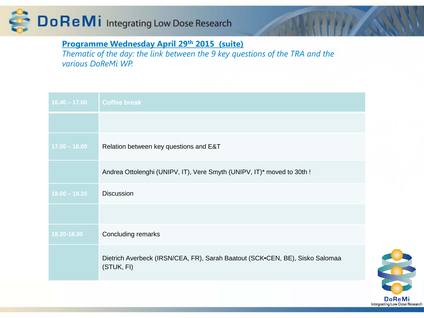

### **Programme Wednesday April 29th 2015 (suite)**

*Thematic of the day: the link between the 9 key questions of the TRA and the various DoReMi WP.*

| $16.40 - 17.00$ | <b>Coffee break</b>                                                                        |
|-----------------|--------------------------------------------------------------------------------------------|
|                 |                                                                                            |
| $17.00 - 18.00$ | Relation between key questions and E&T                                                     |
|                 | Andrea Ottolenghi (UNIPV, IT), Vere Smyth (UNIPV, IT)* moved to 30th !                     |
| $18.00 - 18.20$ | <b>Discussion</b>                                                                          |
|                 |                                                                                            |
| 18.20-18.30     | Concluding remarks                                                                         |
|                 | Dietrich Averbeck (IRSN/CEA, FR), Sarah Baatout (SCK.CEN, BE), Sisko Salomaa<br>(STUK, FI) |

**DoReMi** Integrating Low Dose Research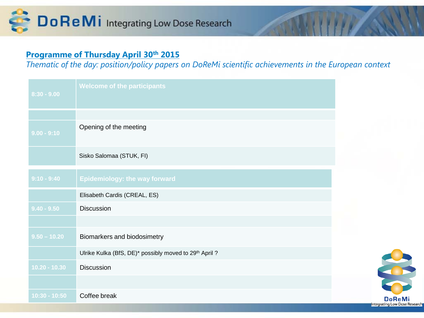

#### **Programme of Thursday April 30th 2015**

*Thematic of the day: position/policy papers on DoReMi scientific achievements in the European context*

| $8:30 - 9.00$   | <b>Welcome of the participants</b>                    |
|-----------------|-------------------------------------------------------|
|                 |                                                       |
| $9.00 - 9:10$   | Opening of the meeting                                |
|                 | Sisko Salomaa (STUK, FI)                              |
| $9:10 - 9:40$   | <b>Epidemiology: the way forward</b>                  |
|                 | Elisabeth Cardis (CREAL, ES)                          |
| $9.40 - 9.50$   | <b>Discussion</b>                                     |
|                 |                                                       |
| $9.50 - 10.20$  | Biomarkers and biodosimetry                           |
|                 | Ulrike Kulka (BfS, DE)* possibly moved to 29th April? |
| $10.20 - 10.30$ | <b>Discussion</b>                                     |
|                 |                                                       |
| $10:30 - 10:50$ | Coffee break                                          |

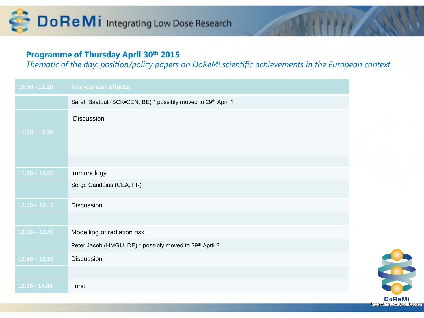

#### **Programme of Thursday April 30th 2015**

*Thematic of the day: position/policy papers on DoReMi scientific achievements in the European context*

| $10:50 - 11:20$ | <b>Non-cancer effects</b>                                    |
|-----------------|--------------------------------------------------------------|
|                 | Sarah Baatout (SCK.CEN, BE) * possibly moved to 29th April ? |
| 11:20 - 11:30   | <b>Discussion</b>                                            |
|                 |                                                              |
| $11.30 - 12.00$ | Immunology                                                   |
|                 | Serge Candéias (CEA, FR)                                     |
| $12.00 - 12.10$ | <b>Discussion</b>                                            |
|                 |                                                              |
| $12.10 - 12.40$ | Modelling of radiation risk                                  |
|                 | Peter Jacob (HMGU, DE) * possibly moved to 29th April ?      |
| $12.40 - 12.50$ | <b>Discussion</b>                                            |
|                 |                                                              |
| $12.50 - 14.00$ | Lunch                                                        |

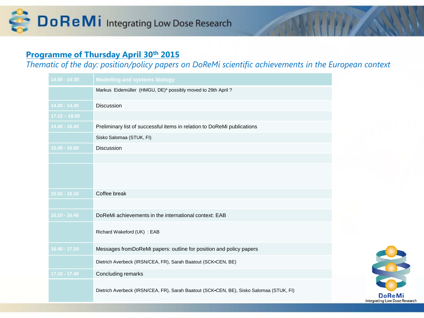### **Programme of Thursday April 30th 2015**

*Thematic of the day: position/policy papers on DoReMi scientific achievements in the European context*

| $14.00 - 14:30$ | <b>Modelling and systems biology</b>                                                    |
|-----------------|-----------------------------------------------------------------------------------------|
|                 | Markus Eidemüller (HMGU, DE)* possibly moved to 29th April ?                            |
| 14.30 - 14.40   | Discussion                                                                              |
| $17.15 - 18.00$ |                                                                                         |
| $14.40 - 15.40$ | Preliminary list of successful items in relation to DoReMi publications                 |
|                 | Sisko Salomaa (STUK, FI)                                                                |
| 15.40 - 15.50   | <b>Discussion</b>                                                                       |
|                 |                                                                                         |
|                 |                                                                                         |
| $15.50 - 16.10$ | Coffee break                                                                            |
|                 |                                                                                         |
| $16.10 - 16.40$ | DoReMi achievements in the international context: EAB                                   |
|                 | Richard Wakeford (UK) : EAB                                                             |
| $16.40 - 17.10$ | Messages fromDoReMi papers: outline for position and policy papers                      |
|                 | Dietrich Averbeck (IRSN/CEA, FR), Sarah Baatout (SCK.CEN, BE)                           |
| $17.10 - 17.40$ | Concluding remarks                                                                      |
|                 | Dietrich Averbeck (IRSN/CEA, FR), Sarah Baatout (SCK.CEN, BE), Sisko Salomaa (STUK, FI) |